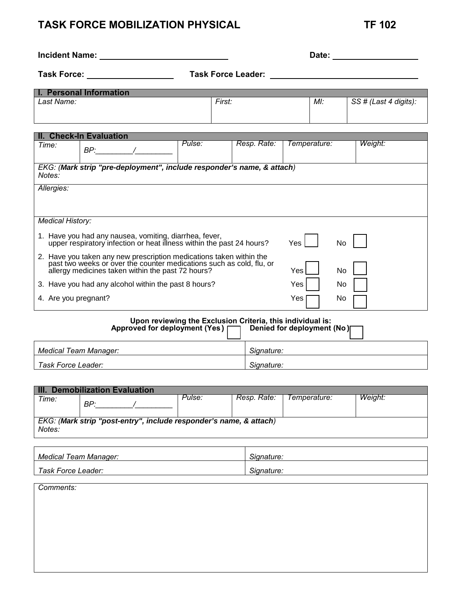## **TASK FORCE MOBILIZATION PHYSICAL TF 102**

| <b>Incident Name:</b>                                                                                                                                                                                   |        |                                                            | Date:        |                       |  |  |
|---------------------------------------------------------------------------------------------------------------------------------------------------------------------------------------------------------|--------|------------------------------------------------------------|--------------|-----------------------|--|--|
| Task Force:<br><b>Task Force Leader:</b>                                                                                                                                                                |        |                                                            |              |                       |  |  |
| I. Personal Information                                                                                                                                                                                 |        |                                                            |              |                       |  |  |
| Last Name:                                                                                                                                                                                              |        | First:                                                     | $Ml$ :       | SS # (Last 4 digits): |  |  |
| II. Check-In Evaluation                                                                                                                                                                                 |        |                                                            |              |                       |  |  |
| Time:<br>$BP:$ /                                                                                                                                                                                        | Pulse: | Resp. Rate:                                                | Temperature: | Weight:               |  |  |
| EKG: (Mark strip "pre-deployment", include responder's name, & attach)<br>Notes:                                                                                                                        |        |                                                            |              |                       |  |  |
| Allergies:                                                                                                                                                                                              |        |                                                            |              |                       |  |  |
| <b>Medical History:</b>                                                                                                                                                                                 |        |                                                            |              |                       |  |  |
| 1. Have you had any nausea, vomiting, diarrhea, fever,<br>upper respiratory infection or heat illness within the past 24 hours?                                                                         |        |                                                            | Yes.         | No.                   |  |  |
| 2. Have you taken any new prescription medications taken within the<br>past two weeks or over the counter medications such as cold, flu, or<br>allergy medicines taken within the past 72 hours?<br>Yes |        |                                                            |              | No                    |  |  |
| 3. Have you had any alcohol within the past 8 hours?                                                                                                                                                    |        |                                                            | Yes          | No.                   |  |  |
| 4. Are you pregnant?                                                                                                                                                                                    |        | Yes                                                        | No           |                       |  |  |
|                                                                                                                                                                                                         |        | Upon reviewing the Exclusion Criteria, this individual is: |              |                       |  |  |

| <b>Opon reviewing the Exclusion Uniterial this individual is.</b><br>Approved for deployment (Yes) $\Box$<br>Denied for deployment (No) |            |  |  |  |
|-----------------------------------------------------------------------------------------------------------------------------------------|------------|--|--|--|
| Medical Team Manager:                                                                                                                   | Signature: |  |  |  |
| Task Force Leader:                                                                                                                      | Signature: |  |  |  |

| HI.<br>. Demobilization Evaluation                                 |     |        |             |              |         |  |
|--------------------------------------------------------------------|-----|--------|-------------|--------------|---------|--|
| Time:                                                              |     | Pulse: | Resp. Rate: | Temperature: | Weiaht: |  |
|                                                                    | BP: |        |             |              |         |  |
|                                                                    |     |        |             |              |         |  |
| EKG: (Mark strip "post-entry", include responder's name, & attach) |     |        |             |              |         |  |
|                                                                    |     |        |             |              |         |  |
| Notes:                                                             |     |        |             |              |         |  |
|                                                                    |     |        |             |              |         |  |

| Medical Team Manager:    | nature     |
|--------------------------|------------|
| Task Force L.<br>.eader: | Signature. |

*Comments:*